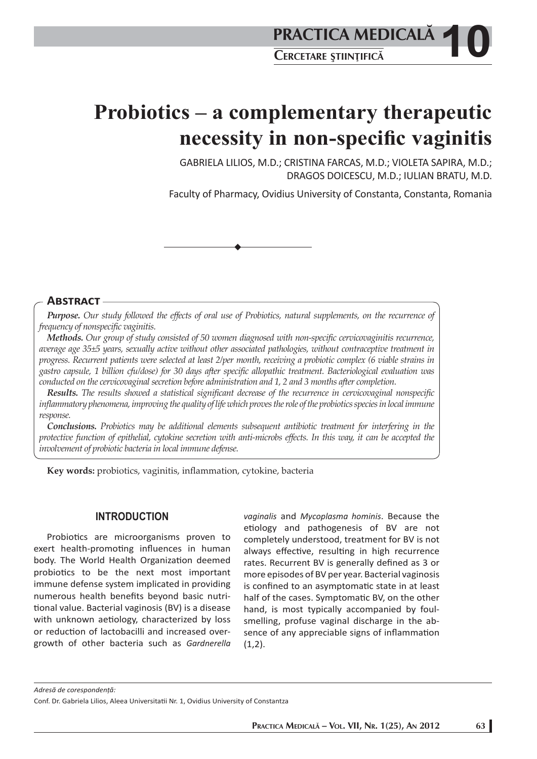# **Probiotics – a complementary therapeutic necessity in non-specific vaginitis**

GABRIELA LILIOS, M.D.; CRISTINA FARCAS, M.D.; VIOLETA SAPIRA, M.D.; DRAGOS DOICESCU, M.D.; IULIAN BRATU, M.D.

Faculty of Pharmacy, Ovidius University of Constanta, Constanta, Romania

## **ABSTRACT**

*Purpose. Our study followed the eff ects of oral use of Probiotics, natural supplements, on the recurrence of frequency of nonspecific vaginitis.* 

*Methods.* Our group of study consisted of 50 women diagnosed with non-specific cervicovaginitis recurrence, *average age 35±5 years, sexually active without other associated pathologies, without contraceptive treatment in progress. Recurrent patients were selected at least 2/per month, receiving a probiotic complex (6 viable strains in gastro capsule, 1 billion cfu/dose) for 30 days aft er specifi c allopathic treatment. Bacteriological evaluation was conducted on the cervicovaginal secretion before administration and 1, 2 and 3 months aft er completion.*

**Results.** The results showed a statistical significant decrease of the recurrence in cervicovaginal nonspecific inflammatory phenomena, improving the quality of life which proves the role of the probiotics species in local immune *response.*

*Conclusions. Probiotics may be additional elements subsequent antibiotic treatment for interfering in the protective function of epithelial, cytokine secretion with anti-microbs eff ects. In this way, it can be accepted the involvement of probiotic bacteria in local immune defense.*

Key words: probiotics, vaginitis, inflammation, cytokine, bacteria

#### **INTRODUCTION**

Probiotics are microorganisms proven to exert health-promoting influences in human body. The World Health Organization deemed probiotics to be the next most important immune defense system implicated in providing numerous health benefits beyond basic nutritional value. Bacterial vaginosis (BV) is a disease with unknown aetiology, characterized by loss or reduction of lactobacilli and increased overgrowth of other bacteria such as *Gardnerella* 

*vaginalis* and *Mycoplasma hominis*. Because the etiology and pathogenesis of BV are not completely understood, treatment for BV is not always effective, resulting in high recurrence rates. Recurrent BV is generally defined as 3 or more episodes of BV per year. Bacterial vaginosis is confined to an asymptomatic state in at least half of the cases. Symptomatic BV, on the other hand, is most typically accompanied by foulsmelling, profuse vaginal discharge in the absence of any appreciable signs of inflammation  $(1,2)$ .

*Adresă de corespondenţă:* 

Conf. Dr. Gabriela Lilios, Aleea Universitatii Nr. 1, Ovidius University of Constantza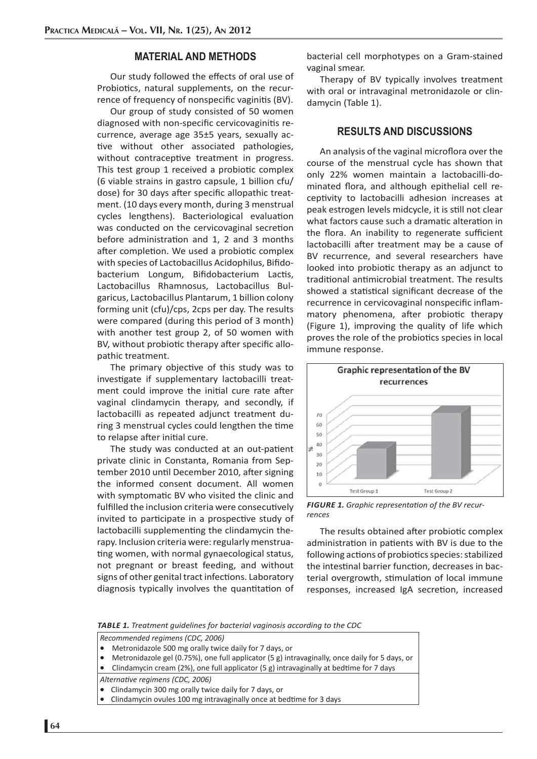## **MATERIAL AND METHODS**

Our study followed the effects of oral use of Probiotics, natural supplements, on the recurrence of frequency of nonspecific vaginitis (BV).

Our group of study consisted of 50 women diagnosed with non-specific cervicovaginitis recurrence, average age 35±5 years, sexually active without other associated pathologies, without contraceptive treatment in progress. This test group 1 received a probiotic complex (6 viable strains in gastro capsule, 1 billion cfu/ dose) for 30 days after specific allopathic treatment. (10 days every month, during 3 menstrual cycles lengthens). Bacteriological evaluation was conducted on the cervicovaginal secretion before administration and 1, 2 and 3 months after completion. We used a probiotic complex with species of Lactobacillus Acidophilus, Bifidobacterium Longum, Bifidobacterium Lactis, Lactobacillus Rhamnosus, Lactobacillus Bulgaricus, Lactobacillus Plantarum, 1 billion colony forming unit (cfu)/cps, 2cps per day. The results were compared (during this period of 3 month) with another test group 2, of 50 women with BV, without probiotic therapy after specific allopathic treatment.

The primary objective of this study was to investigate if supplementary lactobacilli treatment could improve the initial cure rate after vaginal clindamycin therapy, and secondly, if lactobacilli as repeated adjunct treatment during 3 menstrual cycles could lengthen the time to relapse after initial cure.

The study was conducted at an out-patient private clinic in Constanta, Romania from September 2010 until December 2010, after signing the informed consent document. All women with symptomatic BV who visited the clinic and fulfilled the inclusion criteria were consecutively invited to participate in a prospective study of lactobacilli supplementing the clindamycin therapy. Inclusion criteria were: regularly menstruating women, with normal gynaecological status, not pregnant or breast feeding, and without signs of other genital tract infections. Laboratory diagnosis typically involves the quantitation of bacterial cell morphotypes on a Gram-stained vaginal smear.

Therapy of BV typically involves treatment with oral or intravaginal metronidazole or clindamycin (Table 1).

### **RESULTS AND DISCUSSIONS**

An analysis of the vaginal microflora over the course of the menstrual cycle has shown that only 22% women maintain a lactobacilli-dominated flora, and although epithelial cell receptivity to lactobacilli adhesion increases at peak estrogen levels midcycle, it is still not clear what factors cause such a dramatic alteration in the flora. An inability to regenerate sufficient lactobacilli after treatment may be a cause of BV recurrence, and several researchers have looked into probiotic therapy as an adjunct to traditional antimicrobial treatment. The results showed a statistical significant decrease of the recurrence in cervicovaginal nonspecific inflammatory phenomena, after probiotic therapy (Figure 1), improving the quality of life which proves the role of the probiotics species in local immune response.



*FIGURE 1. Graphic representati on of the BV recurrences*

The results obtained after probiotic complex administration in patients with BV is due to the following actions of probiotics species: stabilized the intestinal barrier function, decreases in bacterial overgrowth, stimulation of local immune responses, increased IgA secretion, increased

*TABLE 1. Treatment guidelines for bacterial vaginosis according to the CDC*

*Recommended regimens (CDC, 2006)*

- Metronidazole 500 mg orally twice daily for 7 days, or
- Metronidazole gel (0.75%), one full applicator (5 g) intravaginally, once daily for 5 days, or
- Clindamycin cream (2%), one full applicator (5 g) intravaginally at bedtime for 7 days
- *Alternati ve regimens (CDC, 2006)*
- Clindamycin 300 mg orally twice daily for 7 days, or
- Clindamycin ovules 100 mg intravaginally once at bedtime for 3 days